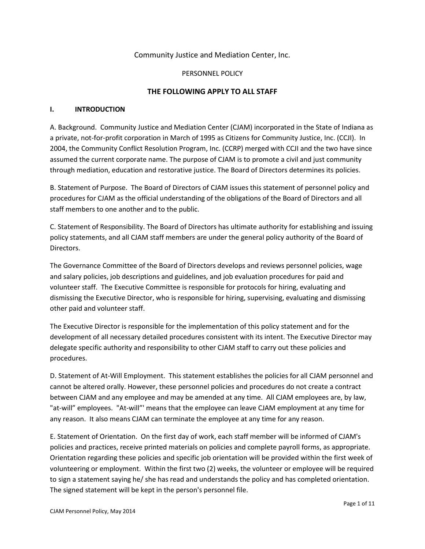# Community Justice and Mediation Center, Inc.

#### PERSONNEL POLICY

## **THE FOLLOWING APPLY TO ALL STAFF**

#### **I. INTRODUCTION**

A. Background. Community Justice and Mediation Center (CJAM) incorporated in the State of Indiana as a private, not-for-profit corporation in March of 1995 as Citizens for Community Justice, Inc. (CCJI). In 2004, the Community Conflict Resolution Program, Inc. (CCRP) merged with CCJI and the two have since assumed the current corporate name. The purpose of CJAM is to promote a civil and just community through mediation, education and restorative justice. The Board of Directors determines its policies.

B. Statement of Purpose. The Board of Directors of CJAM issues this statement of personnel policy and procedures for CJAM as the official understanding of the obligations of the Board of Directors and all staff members to one another and to the public.

C. Statement of Responsibility. The Board of Directors has ultimate authority for establishing and issuing policy statements, and all CJAM staff members are under the general policy authority of the Board of Directors.

The Governance Committee of the Board of Directors develops and reviews personnel policies, wage and salary policies, job descriptions and guidelines, and job evaluation procedures for paid and volunteer staff. The Executive Committee is responsible for protocols for hiring, evaluating and dismissing the Executive Director, who is responsible for hiring, supervising, evaluating and dismissing other paid and volunteer staff.

The Executive Director is responsible for the implementation of this policy statement and for the development of all necessary detailed procedures consistent with its intent. The Executive Director may delegate specific authority and responsibility to other CJAM staff to carry out these policies and procedures.

D. Statement of At-Will Employment. This statement establishes the policies for all CJAM personnel and cannot be altered orally. However, these personnel policies and procedures do not create a contract between CJAM and any employee and may be amended at any time. All CJAM employees are, by law, "at-will" employees. "At-will"' means that the employee can leave CJAM employment at any time for any reason. It also means CJAM can terminate the employee at any time for any reason.

E. Statement of Orientation. On the first day of work, each staff member will be informed of CJAM's policies and practices, receive printed materials on policies and complete payroll forms, as appropriate. Orientation regarding these policies and specific job orientation will be provided within the first week of volunteering or employment. Within the first two (2) weeks, the volunteer or employee will be required to sign a statement saying he/ she has read and understands the policy and has completed orientation. The signed statement will be kept in the person's personnel file.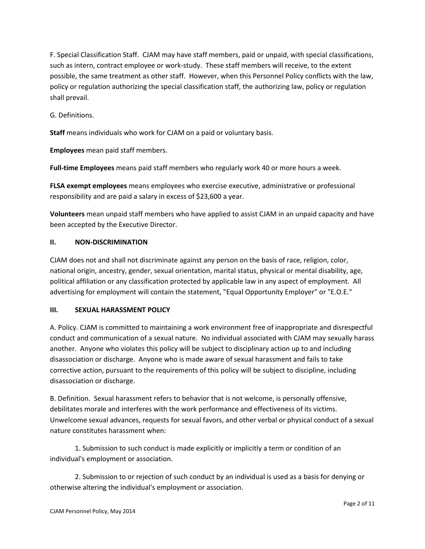F. Special Classification Staff. CJAM may have staff members, paid or unpaid, with special classifications, such as intern, contract employee or work-study. These staff members will receive, to the extent possible, the same treatment as other staff. However, when this Personnel Policy conflicts with the law, policy or regulation authorizing the special classification staff, the authorizing law, policy or regulation shall prevail.

G. Definitions.

**Staff** means individuals who work for CJAM on a paid or voluntary basis.

**Employees** mean paid staff members.

**Full-time Employees** means paid staff members who regularly work 40 or more hours a week.

**FLSA exempt employees** means employees who exercise executive, administrative or professional responsibility and are paid a salary in excess of \$23,600 a year.

**Volunteers** mean unpaid staff members who have applied to assist CJAM in an unpaid capacity and have been accepted by the Executive Director.

## **II. NON-DISCRIMINATION**

CJAM does not and shall not discriminate against any person on the basis of race, religion, color, national origin, ancestry, gender, sexual orientation, marital status, physical or mental disability, age, political affiliation or any classification protected by applicable law in any aspect of employment. All advertising for employment will contain the statement, "Equal Opportunity Employer" or "E.O.E."

## **III. SEXUAL HARASSMENT POLICY**

A. Policy. CJAM is committed to maintaining a work environment free of inappropriate and disrespectful conduct and communication of a sexual nature. No individual associated with CJAM may sexually harass another. Anyone who violates this policy will be subject to disciplinary action up to and including disassociation or discharge. Anyone who is made aware of sexual harassment and fails to take corrective action, pursuant to the requirements of this policy will be subject to discipline, including disassociation or discharge.

B. Definition. Sexual harassment refers to behavior that is not welcome, is personally offensive, debilitates morale and interferes with the work performance and effectiveness of its victims. Unwelcome sexual advances, requests for sexual favors, and other verbal or physical conduct of a sexual nature constitutes harassment when:

1. Submission to such conduct is made explicitly or implicitly a term or condition of an individual's employment or association.

2. Submission to or rejection of such conduct by an individual is used as a basis for denying or otherwise altering the individual's employment or association.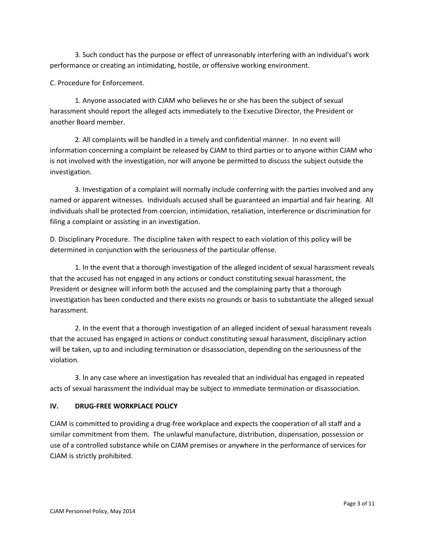3. Such conduct has the purpose or effect of unreasonably interfering with an individual's work performance or creating an intimidating, hostile, or offensive working environment.

C. Procedure for Enforcement.

1. Anyone associated with CJAM who believes he or she has been the subject of sexual harassment should report the alleged acts immediately to the Executive Director, the President or another Board member.

2. All complaints will be handled in a timely and confidential manner. In no event will information concerning a complaint be released by CJAM to third parties or to anyone within CJAM who is not involved with the investigation, nor will anyone be permitted to discuss the subject outside the investigation.

3. Investigation of a complaint will normally include conferring with the parties involved and any named or apparent witnesses. Individuals accused shall be guaranteed an impartial and fair hearing. All individuals shall be protected from coercion, intimidation, retaliation, interference or discrimination for filing a complaint or assisting in an investigation.

D. Disciplinary Procedure. The discipline taken with respect to each violation of this policy will be determined in conjunction with the seriousness of the particular offense.

1. In the event that a thorough investigation of the alleged incident of sexual harassment reveals that the accused has not engaged in any actions or conduct constituting sexual harassment, the President or designee will inform both the accused and the complaining party that a thorough investigation has been conducted and there exists no grounds or basis to substantiate the alleged sexual harassment.

2. In the event that a thorough investigation of an alleged incident of sexual harassment reveals that the accused has engaged in actions or conduct constituting sexual harassment, disciplinary action will be taken, up to and including termination or disassociation, depending on the seriousness of the violation.

3. In any case where an investigation has revealed that an individual has engaged in repeated acts of sexual harassment the individual may be subject to immediate termination or disassociation.

## **IV. DRUG-FREE WORKPLACE POLICY**

CJAM is committed to providing a drug-free workplace and expects the cooperation of all staff and a similar commitment from them. The unlawful manufacture, distribution, dispensation, possession or use of a controlled substance while on CJAM premises or anywhere in the performance of services for CJAM is strictly prohibited.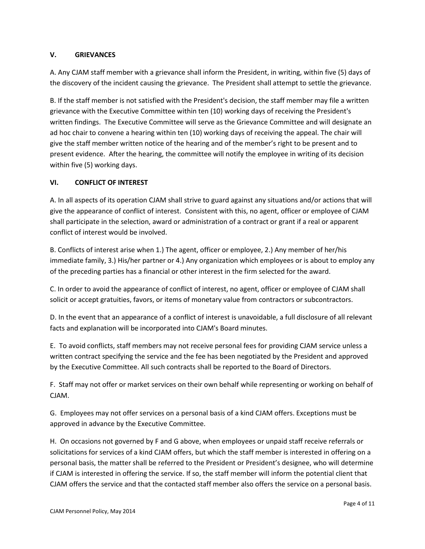## **V. GRIEVANCES**

A. Any CJAM staff member with a grievance shall inform the President, in writing, within five (5) days of the discovery of the incident causing the grievance. The President shall attempt to settle the grievance.

B. If the staff member is not satisfied with the President's decision, the staff member may file a written grievance with the Executive Committee within ten (10) working days of receiving the President's written findings. The Executive Committee will serve as the Grievance Committee and will designate an ad hoc chair to convene a hearing within ten (10) working days of receiving the appeal. The chair will give the staff member written notice of the hearing and of the member's right to be present and to present evidence. After the hearing, the committee will notify the employee in writing of its decision within five (5) working days.

# **VI. CONFLICT OF INTEREST**

A. In all aspects of its operation CJAM shall strive to guard against any situations and/or actions that will give the appearance of conflict of interest. Consistent with this, no agent, officer or employee of CJAM shall participate in the selection, award or administration of a contract or grant if a real or apparent conflict of interest would be involved.

B. Conflicts of interest arise when 1.) The agent, officer or employee, 2.) Any member of her/his immediate family, 3.) His/her partner or 4.) Any organization which employees or is about to employ any of the preceding parties has a financial or other interest in the firm selected for the award.

C. In order to avoid the appearance of conflict of interest, no agent, officer or employee of CJAM shall solicit or accept gratuities, favors, or items of monetary value from contractors or subcontractors.

D. In the event that an appearance of a conflict of interest is unavoidable, a full disclosure of all relevant facts and explanation will be incorporated into CJAM's Board minutes.

E. To avoid conflicts, staff members may not receive personal fees for providing CJAM service unless a written contract specifying the service and the fee has been negotiated by the President and approved by the Executive Committee. All such contracts shall be reported to the Board of Directors.

F. Staff may not offer or market services on their own behalf while representing or working on behalf of CJAM.

G. Employees may not offer services on a personal basis of a kind CJAM offers. Exceptions must be approved in advance by the Executive Committee.

H. On occasions not governed by F and G above, when employees or unpaid staff receive referrals or solicitations for services of a kind CJAM offers, but which the staff member is interested in offering on a personal basis, the matter shall be referred to the President or President's designee, who will determine if CJAM is interested in offering the service. If so, the staff member will inform the potential client that CJAM offers the service and that the contacted staff member also offers the service on a personal basis.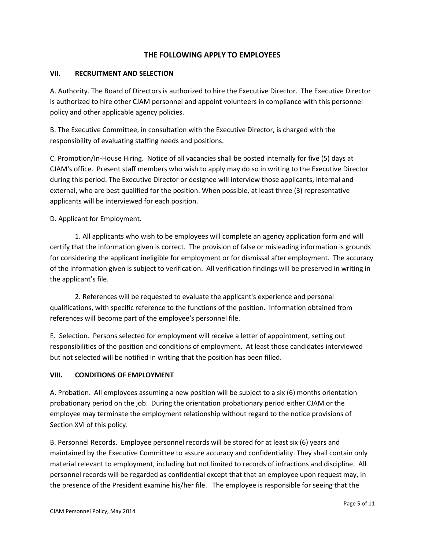# **THE FOLLOWING APPLY TO EMPLOYEES**

#### **VII. RECRUITMENT AND SELECTION**

A. Authority. The Board of Directors is authorized to hire the Executive Director. The Executive Director is authorized to hire other CJAM personnel and appoint volunteers in compliance with this personnel policy and other applicable agency policies.

B. The Executive Committee, in consultation with the Executive Director, is charged with the responsibility of evaluating staffing needs and positions.

C. Promotion/In-House Hiring. Notice of all vacancies shall be posted internally for five (5) days at CJAM's office. Present staff members who wish to apply may do so in writing to the Executive Director during this period. The Executive Director or designee will interview those applicants, internal and external, who are best qualified for the position. When possible, at least three (3) representative applicants will be interviewed for each position.

## D. Applicant for Employment.

1. All applicants who wish to be employees will complete an agency application form and will certify that the information given is correct. The provision of false or misleading information is grounds for considering the applicant ineligible for employment or for dismissal after employment. The accuracy of the information given is subject to verification. All verification findings will be preserved in writing in the applicant's file.

2. References will be requested to evaluate the applicant's experience and personal qualifications, with specific reference to the functions of the position. Information obtained from references will become part of the employee's personnel file.

E. Selection. Persons selected for employment will receive a letter of appointment, setting out responsibilities of the position and conditions of employment. At least those candidates interviewed but not selected will be notified in writing that the position has been filled.

## **VIII. CONDITIONS OF EMPLOYMENT**

A. Probation. All employees assuming a new position will be subject to a six (6) months orientation probationary period on the job. During the orientation probationary period either CJAM or the employee may terminate the employment relationship without regard to the notice provisions of Section XVI of this policy.

B. Personnel Records. Employee personnel records will be stored for at least six (6) years and maintained by the Executive Committee to assure accuracy and confidentiality. They shall contain only material relevant to employment, including but not limited to records of infractions and discipline. All personnel records will be regarded as confidential except that that an employee upon request may, in the presence of the President examine his/her file. The employee is responsible for seeing that the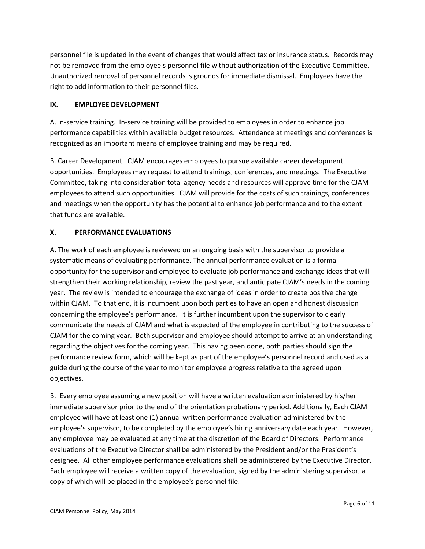personnel file is updated in the event of changes that would affect tax or insurance status. Records may not be removed from the employee's personnel file without authorization of the Executive Committee. Unauthorized removal of personnel records is grounds for immediate dismissal. Employees have the right to add information to their personnel files.

## **IX. EMPLOYEE DEVELOPMENT**

A. In-service training. In-service training will be provided to employees in order to enhance job performance capabilities within available budget resources. Attendance at meetings and conferences is recognized as an important means of employee training and may be required.

B. Career Development. CJAM encourages employees to pursue available career development opportunities. Employees may request to attend trainings, conferences, and meetings. The Executive Committee, taking into consideration total agency needs and resources will approve time for the CJAM employees to attend such opportunities. CJAM will provide for the costs of such trainings, conferences and meetings when the opportunity has the potential to enhance job performance and to the extent that funds are available.

## **X. PERFORMANCE EVALUATIONS**

A. The work of each employee is reviewed on an ongoing basis with the supervisor to provide a systematic means of evaluating performance. The annual performance evaluation is a formal opportunity for the supervisor and employee to evaluate job performance and exchange ideas that will strengthen their working relationship, review the past year, and anticipate CJAM's needs in the coming year. The review is intended to encourage the exchange of ideas in order to create positive change within CJAM. To that end, it is incumbent upon both parties to have an open and honest discussion concerning the employee's performance. It is further incumbent upon the supervisor to clearly communicate the needs of CJAM and what is expected of the employee in contributing to the success of CJAM for the coming year. Both supervisor and employee should attempt to arrive at an understanding regarding the objectives for the coming year. This having been done, both parties should sign the performance review form, which will be kept as part of the employee's personnel record and used as a guide during the course of the year to monitor employee progress relative to the agreed upon objectives.

B. Every employee assuming a new position will have a written evaluation administered by his/her immediate supervisor prior to the end of the orientation probationary period. Additionally, Each CJAM employee will have at least one (1) annual written performance evaluation administered by the employee's supervisor, to be completed by the employee's hiring anniversary date each year. However, any employee may be evaluated at any time at the discretion of the Board of Directors. Performance evaluations of the Executive Director shall be administered by the President and/or the President's designee. All other employee performance evaluations shall be administered by the Executive Director. Each employee will receive a written copy of the evaluation, signed by the administering supervisor, a copy of which will be placed in the employee's personnel file.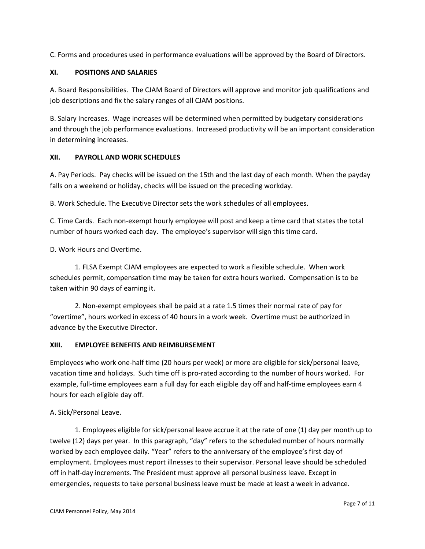C. Forms and procedures used in performance evaluations will be approved by the Board of Directors.

## **XI. POSITIONS AND SALARIES**

A. Board Responsibilities. The CJAM Board of Directors will approve and monitor job qualifications and job descriptions and fix the salary ranges of all CJAM positions.

B. Salary Increases. Wage increases will be determined when permitted by budgetary considerations and through the job performance evaluations. Increased productivity will be an important consideration in determining increases.

#### **XII. PAYROLL AND WORK SCHEDULES**

A. Pay Periods. Pay checks will be issued on the 15th and the last day of each month. When the payday falls on a weekend or holiday, checks will be issued on the preceding workday.

B. Work Schedule. The Executive Director sets the work schedules of all employees.

C. Time Cards. Each non-exempt hourly employee will post and keep a time card that states the total number of hours worked each day. The employee's supervisor will sign this time card.

D. Work Hours and Overtime.

1. FLSA Exempt CJAM employees are expected to work a flexible schedule. When work schedules permit, compensation time may be taken for extra hours worked. Compensation is to be taken within 90 days of earning it.

2. Non-exempt employees shall be paid at a rate 1.5 times their normal rate of pay for "overtime", hours worked in excess of 40 hours in a work week. Overtime must be authorized in advance by the Executive Director.

#### **XIII. EMPLOYEE BENEFITS AND REIMBURSEMENT**

Employees who work one-half time (20 hours per week) or more are eligible for sick/personal leave, vacation time and holidays. Such time off is pro-rated according to the number of hours worked. For example, full-time employees earn a full day for each eligible day off and half-time employees earn 4 hours for each eligible day off.

## A. Sick/Personal Leave.

1. Employees eligible for sick/personal leave accrue it at the rate of one (1) day per month up to twelve (12) days per year. In this paragraph, "day" refers to the scheduled number of hours normally worked by each employee daily. "Year" refers to the anniversary of the employee's first day of employment. Employees must report illnesses to their supervisor. Personal leave should be scheduled off in half-day increments. The President must approve all personal business leave. Except in emergencies, requests to take personal business leave must be made at least a week in advance.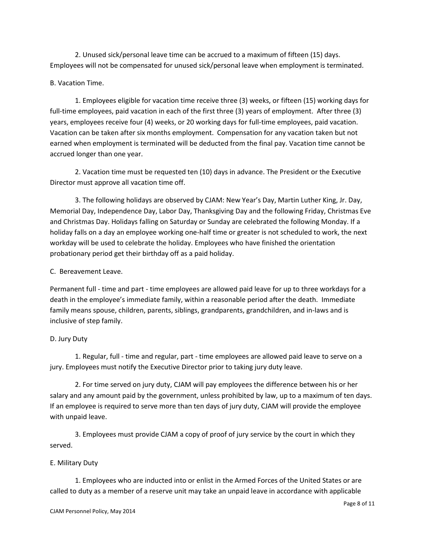2. Unused sick/personal leave time can be accrued to a maximum of fifteen (15) days. Employees will not be compensated for unused sick/personal leave when employment is terminated.

## B. Vacation Time.

1. Employees eligible for vacation time receive three (3) weeks, or fifteen (15) working days for full-time employees, paid vacation in each of the first three (3) years of employment. After three (3) years, employees receive four (4) weeks, or 20 working days for full-time employees, paid vacation. Vacation can be taken after six months employment. Compensation for any vacation taken but not earned when employment is terminated will be deducted from the final pay. Vacation time cannot be accrued longer than one year.

2. Vacation time must be requested ten (10) days in advance. The President or the Executive Director must approve all vacation time off.

3. The following holidays are observed by CJAM: New Year's Day, Martin Luther King, Jr. Day, Memorial Day, Independence Day, Labor Day, Thanksgiving Day and the following Friday, Christmas Eve and Christmas Day. Holidays falling on Saturday or Sunday are celebrated the following Monday. If a holiday falls on a day an employee working one-half time or greater is not scheduled to work, the next workday will be used to celebrate the holiday. Employees who have finished the orientation probationary period get their birthday off as a paid holiday.

# C. Bereavement Leave.

Permanent full - time and part - time employees are allowed paid leave for up to three workdays for a death in the employee's immediate family, within a reasonable period after the death. Immediate family means spouse, children, parents, siblings, grandparents, grandchildren, and in-laws and is inclusive of step family.

## D. Jury Duty

1. Regular, full - time and regular, part - time employees are allowed paid leave to serve on a jury. Employees must notify the Executive Director prior to taking jury duty leave.

2. For time served on jury duty, CJAM will pay employees the difference between his or her salary and any amount paid by the government, unless prohibited by law, up to a maximum of ten days. If an employee is required to serve more than ten days of jury duty, CJAM will provide the employee with unpaid leave.

3. Employees must provide CJAM a copy of proof of jury service by the court in which they served.

## E. Military Duty

1. Employees who are inducted into or enlist in the Armed Forces of the United States or are called to duty as a member of a reserve unit may take an unpaid leave in accordance with applicable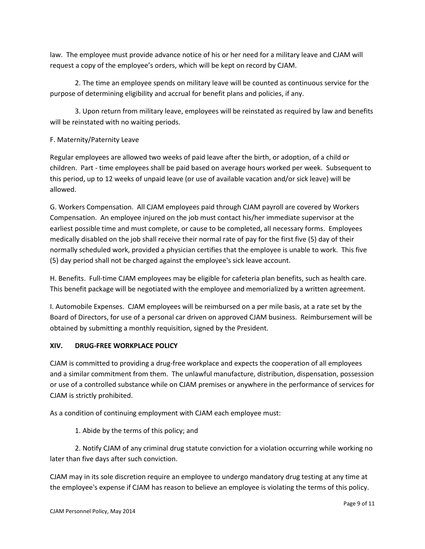law. The employee must provide advance notice of his or her need for a military leave and CJAM will request a copy of the employee's orders, which will be kept on record by CJAM.

2. The time an employee spends on military leave will be counted as continuous service for the purpose of determining eligibility and accrual for benefit plans and policies, if any.

3. Upon return from military leave, employees will be reinstated as required by law and benefits will be reinstated with no waiting periods.

# F. Maternity/Paternity Leave

Regular employees are allowed two weeks of paid leave after the birth, or adoption, of a child or children. Part - time employees shall be paid based on average hours worked per week. Subsequent to this period, up to 12 weeks of unpaid leave (or use of available vacation and/or sick leave) will be allowed.

G. Workers Compensation. All CJAM employees paid through CJAM payroll are covered by Workers Compensation. An employee injured on the job must contact his/her immediate supervisor at the earliest possible time and must complete, or cause to be completed, all necessary forms. Employees medically disabled on the job shall receive their normal rate of pay for the first five (5) day of their normally scheduled work, provided a physician certifies that the employee is unable to work. This five (5) day period shall not be charged against the employee's sick leave account.

H. Benefits. Full-time CJAM employees may be eligible for cafeteria plan benefits, such as health care. This benefit package will be negotiated with the employee and memorialized by a written agreement.

I. Automobile Expenses. CJAM employees will be reimbursed on a per mile basis, at a rate set by the Board of Directors, for use of a personal car driven on approved CJAM business. Reimbursement will be obtained by submitting a monthly requisition, signed by the President.

## **XIV. DRUG-FREE WORKPLACE POLICY**

CJAM is committed to providing a drug-free workplace and expects the cooperation of all employees and a similar commitment from them. The unlawful manufacture, distribution, dispensation, possession or use of a controlled substance while on CJAM premises or anywhere in the performance of services for CJAM is strictly prohibited.

As a condition of continuing employment with CJAM each employee must:

1. Abide by the terms of this policy; and

2. Notify CJAM of any criminal drug statute conviction for a violation occurring while working no later than five days after such conviction.

CJAM may in its sole discretion require an employee to undergo mandatory drug testing at any time at the employee's expense if CJAM has reason to believe an employee is violating the terms of this policy.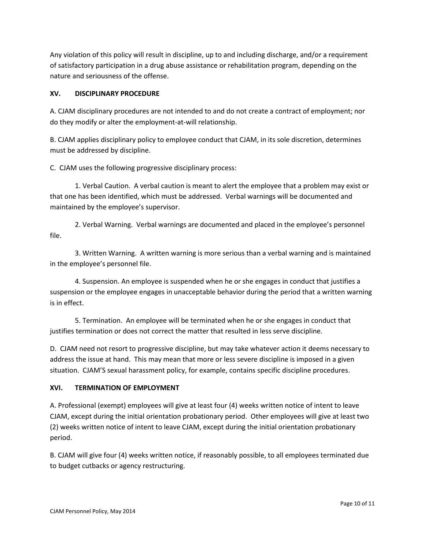Any violation of this policy will result in discipline, up to and including discharge, and/or a requirement of satisfactory participation in a drug abuse assistance or rehabilitation program, depending on the nature and seriousness of the offense.

## **XV. DISCIPLINARY PROCEDURE**

A. CJAM disciplinary procedures are not intended to and do not create a contract of employment; nor do they modify or alter the employment-at-will relationship.

B. CJAM applies disciplinary policy to employee conduct that CJAM, in its sole discretion, determines must be addressed by discipline.

C. CJAM uses the following progressive disciplinary process:

1. Verbal Caution. A verbal caution is meant to alert the employee that a problem may exist or that one has been identified, which must be addressed. Verbal warnings will be documented and maintained by the employee's supervisor.

2. Verbal Warning. Verbal warnings are documented and placed in the employee's personnel file.

3. Written Warning. A written warning is more serious than a verbal warning and is maintained in the employee's personnel file.

4. Suspension. An employee is suspended when he or she engages in conduct that justifies a suspension or the employee engages in unacceptable behavior during the period that a written warning is in effect.

5. Termination. An employee will be terminated when he or she engages in conduct that justifies termination or does not correct the matter that resulted in less serve discipline.

D. CJAM need not resort to progressive discipline, but may take whatever action it deems necessary to address the issue at hand. This may mean that more or less severe discipline is imposed in a given situation. CJAM'S sexual harassment policy, for example, contains specific discipline procedures.

## **XVI. TERMINATION OF EMPLOYMENT**

A. Professional (exempt) employees will give at least four (4) weeks written notice of intent to leave CJAM, except during the initial orientation probationary period. Other employees will give at least two (2) weeks written notice of intent to leave CJAM, except during the initial orientation probationary period.

B. CJAM will give four (4) weeks written notice, if reasonably possible, to all employees terminated due to budget cutbacks or agency restructuring.